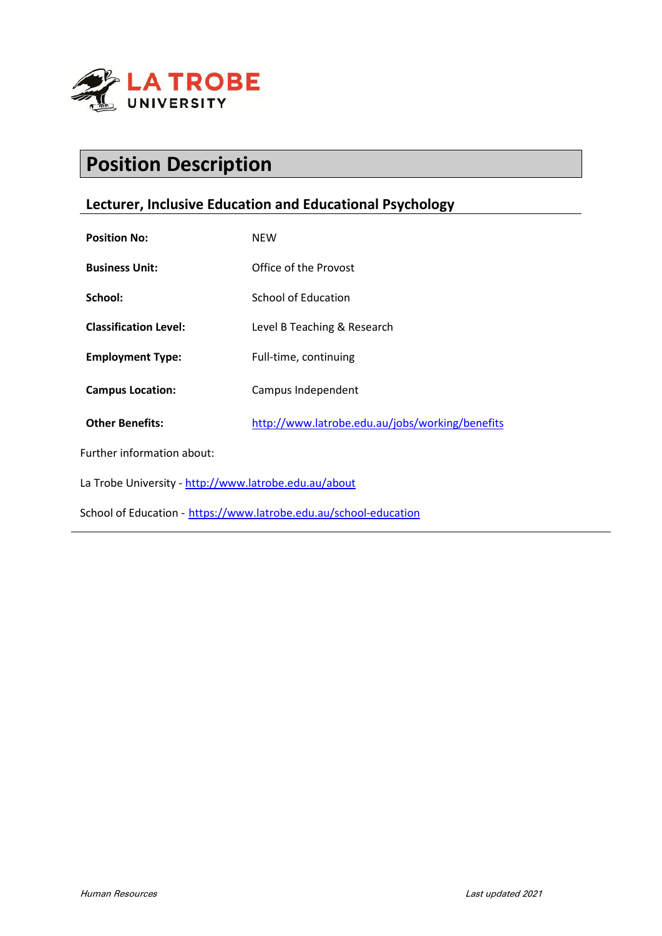

# **Position Description**

# **Lecturer, Inclusive Education and Educational Psychology**

| <b>Position No:</b>                                               | <b>NEW</b>                                      |
|-------------------------------------------------------------------|-------------------------------------------------|
| <b>Business Unit:</b>                                             | Office of the Provost                           |
| School:                                                           | School of Education                             |
| <b>Classification Level:</b>                                      | Level B Teaching & Research                     |
| <b>Employment Type:</b>                                           | Full-time, continuing                           |
| <b>Campus Location:</b>                                           | Campus Independent                              |
| <b>Other Benefits:</b>                                            | http://www.latrobe.edu.au/jobs/working/benefits |
| Further information about:                                        |                                                 |
| La Trobe University - http://www.latrobe.edu.au/about             |                                                 |
| School of Education - https://www.latrobe.edu.au/school-education |                                                 |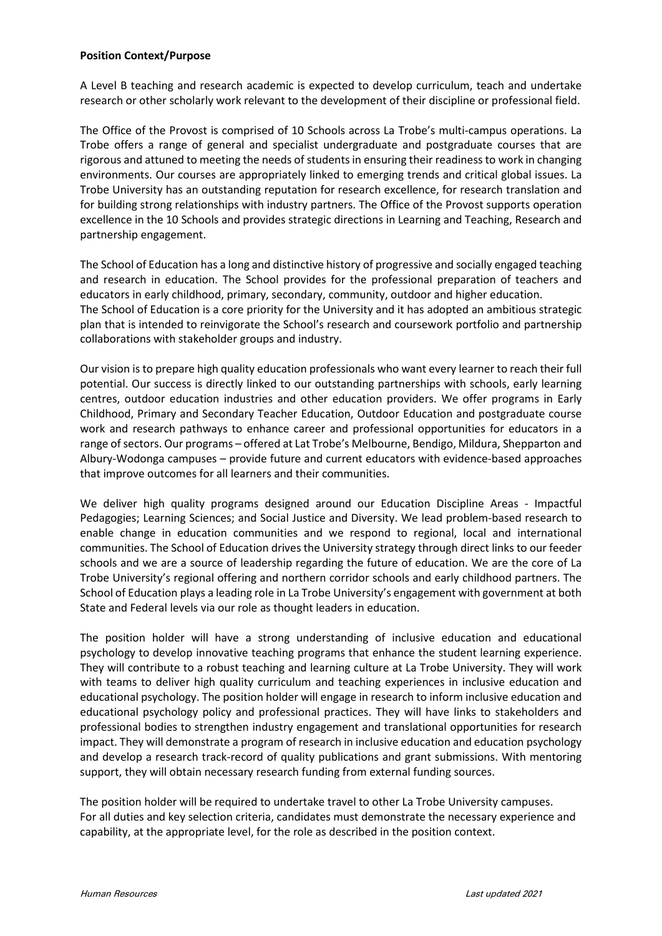#### **Position Context/Purpose**

A Level B teaching and research academic is expected to develop curriculum, teach and undertake research or other scholarly work relevant to the development of their discipline or professional field.

The Office of the Provost is comprised of 10 Schools across La Trobe's multi-campus operations. La Trobe offers a range of general and specialist undergraduate and postgraduate courses that are rigorous and attuned to meeting the needs of students in ensuring their readiness to work in changing environments. Our courses are appropriately linked to emerging trends and critical global issues. La Trobe University has an outstanding reputation for research excellence, for research translation and for building strong relationships with industry partners. The Office of the Provost supports operation excellence in the 10 Schools and provides strategic directions in Learning and Teaching, Research and partnership engagement.

The School of Education has a long and distinctive history of progressive and socially engaged teaching and research in education. The School provides for the professional preparation of teachers and educators in early childhood, primary, secondary, community, outdoor and higher education. The School of Education is a core priority for the University and it has adopted an ambitious strategic plan that is intended to reinvigorate the School's research and coursework portfolio and partnership collaborations with stakeholder groups and industry.

Our vision is to prepare high quality education professionals who want every learner to reach their full potential. Our success is directly linked to our outstanding partnerships with schools, early learning centres, outdoor education industries and other education providers. We offer programs in Early Childhood, Primary and Secondary Teacher Education, Outdoor Education and postgraduate course work and research pathways to enhance career and professional opportunities for educators in a range of sectors. Our programs – offered at Lat Trobe's Melbourne, Bendigo, Mildura, Shepparton and Albury-Wodonga campuses – provide future and current educators with evidence-based approaches that improve outcomes for all learners and their communities.

We deliver high quality programs designed around our Education Discipline Areas - Impactful Pedagogies; Learning Sciences; and Social Justice and Diversity. We lead problem-based research to enable change in education communities and we respond to regional, local and international communities. The School of Education drives the University strategy through direct links to our feeder schools and we are a source of leadership regarding the future of education. We are the core of La Trobe University's regional offering and northern corridor schools and early childhood partners. The School of Education plays a leading role in La Trobe University's engagement with government at both State and Federal levels via our role as thought leaders in education.

The position holder will have a strong understanding of inclusive education and educational psychology to develop innovative teaching programs that enhance the student learning experience. They will contribute to a robust teaching and learning culture at La Trobe University. They will work with teams to deliver high quality curriculum and teaching experiences in inclusive education and educational psychology. The position holder will engage in research to inform inclusive education and educational psychology policy and professional practices. They will have links to stakeholders and professional bodies to strengthen industry engagement and translational opportunities for research impact. They will demonstrate a program of research in inclusive education and education psychology and develop a research track-record of quality publications and grant submissions. With mentoring support, they will obtain necessary research funding from external funding sources.

The position holder will be required to undertake travel to other La Trobe University campuses. For all duties and key selection criteria, candidates must demonstrate the necessary experience and capability, at the appropriate level, for the role as described in the position context.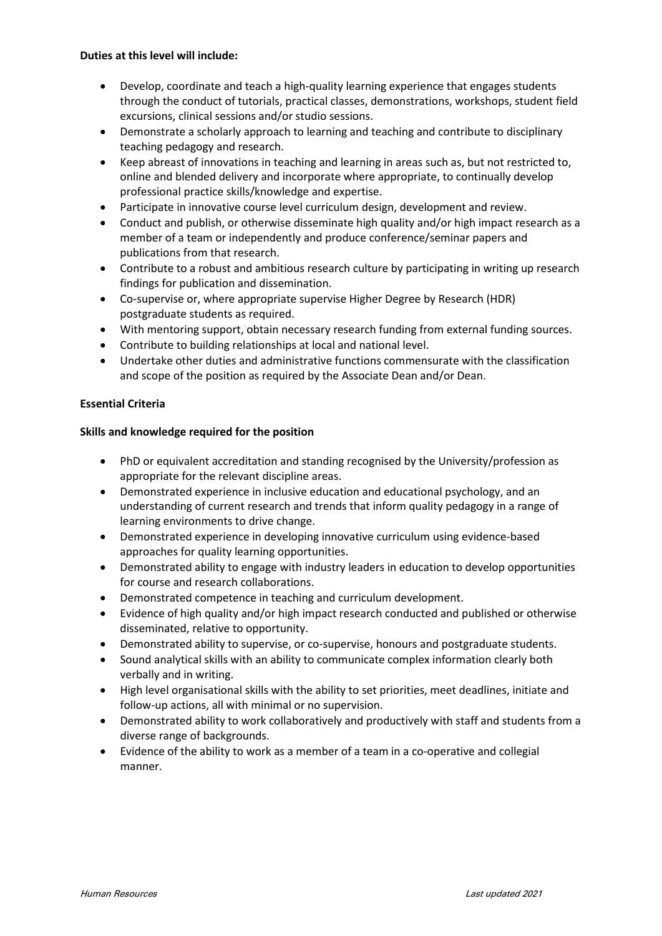#### **Duties at this level will include:**

- Develop, coordinate and teach a high-quality learning experience that engages students through the conduct of tutorials, practical classes, demonstrations, workshops, student field excursions, clinical sessions and/or studio sessions.
- Demonstrate a scholarly approach to learning and teaching and contribute to disciplinary teaching pedagogy and research.
- Keep abreast of innovations in teaching and learning in areas such as, but not restricted to, online and blended delivery and incorporate where appropriate, to continually develop professional practice skills/knowledge and expertise.
- Participate in innovative course level curriculum design, development and review.
- Conduct and publish, or otherwise disseminate high quality and/or high impact research as a member of a team or independently and produce conference/seminar papers and publications from that research.
- Contribute to a robust and ambitious research culture by participating in writing up research findings for publication and dissemination.
- Co-supervise or, where appropriate supervise Higher Degree by Research (HDR) postgraduate students as required.
- With mentoring support, obtain necessary research funding from external funding sources.
- Contribute to building relationships at local and national level.
- Undertake other duties and administrative functions commensurate with the classification and scope of the position as required by the Associate Dean and/or Dean.

### **Essential Criteria**

#### **Skills and knowledge required for the position**

- PhD or equivalent accreditation and standing recognised by the University/profession as appropriate for the relevant discipline areas.
- Demonstrated experience in inclusive education and educational psychology, and an understanding of current research and trends that inform quality pedagogy in a range of learning environments to drive change.
- Demonstrated experience in developing innovative curriculum using evidence-based approaches for quality learning opportunities.
- Demonstrated ability to engage with industry leaders in education to develop opportunities for course and research collaborations.
- Demonstrated competence in teaching and curriculum development.
- Evidence of high quality and/or high impact research conducted and published or otherwise disseminated, relative to opportunity.
- Demonstrated ability to supervise, or co-supervise, honours and postgraduate students.
- Sound analytical skills with an ability to communicate complex information clearly both verbally and in writing.
- High level organisational skills with the ability to set priorities, meet deadlines, initiate and follow-up actions, all with minimal or no supervision.
- Demonstrated ability to work collaboratively and productively with staff and students from a diverse range of backgrounds.
- Evidence of the ability to work as a member of a team in a co-operative and collegial manner.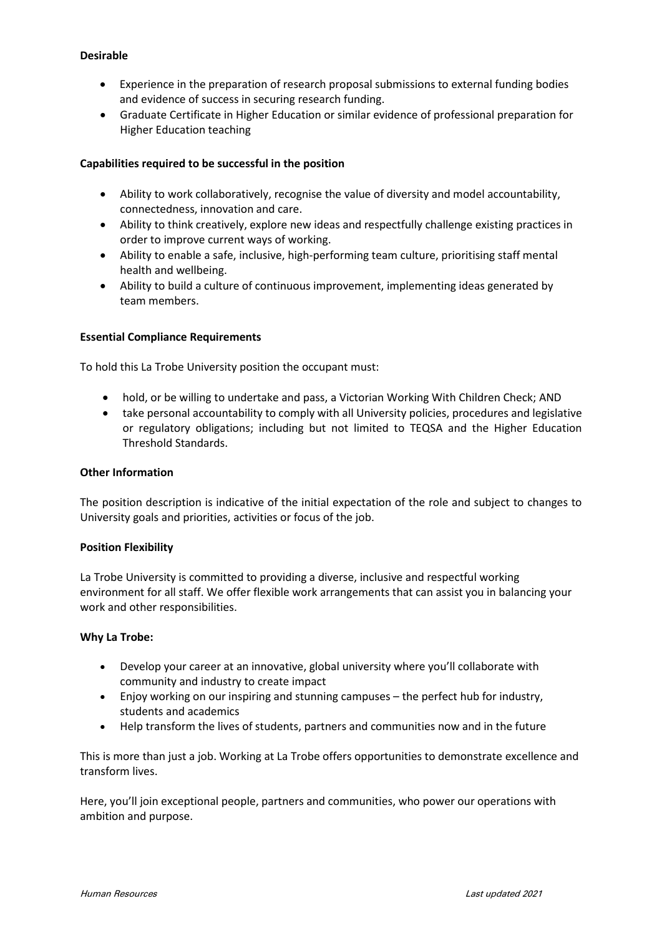## **Desirable**

- Experience in the preparation of research proposal submissions to external funding bodies and evidence of success in securing research funding.
- Graduate Certificate in Higher Education or similar evidence of professional preparation for Higher Education teaching

### **Capabilities required to be successful in the position**

- Ability to work collaboratively, recognise the value of diversity and model accountability, connectedness, innovation and care.
- Ability to think creatively, explore new ideas and respectfully challenge existing practices in order to improve current ways of working.
- Ability to enable a safe, inclusive, high-performing team culture, prioritising staff mental health and wellbeing.
- Ability to build a culture of continuous improvement, implementing ideas generated by team members.

### **Essential Compliance Requirements**

To hold this La Trobe University position the occupant must:

- hold, or be willing to undertake and pass, a Victorian Working With Children Check; AND
- take personal accountability to comply with all University policies, procedures and legislative or regulatory obligations; including but not limited to TEQSA and the Higher Education Threshold Standards.

### **Other Information**

The position description is indicative of the initial expectation of the role and subject to changes to University goals and priorities, activities or focus of the job.

### **Position Flexibility**

La Trobe University is committed to providing a diverse, inclusive and respectful working environment for all staff. We offer flexible work arrangements that can assist you in balancing your work and other responsibilities.

### **Why La Trobe:**

- Develop your career at an innovative, global university where you'll collaborate with community and industry to create impact
- Enjoy working on our inspiring and stunning campuses the perfect hub for industry, students and academics
- Help transform the lives of students, partners and communities now and in the future

This is more than just a job. Working at La Trobe offers opportunities to demonstrate excellence and transform lives.

Here, you'll join exceptional people, partners and communities, who power our operations with ambition and purpose.